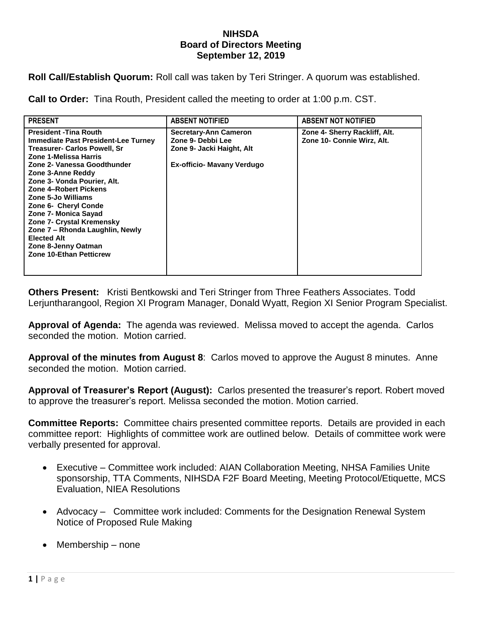## **NIHSDA Board of Directors Meeting September 12, 2019**

**Roll Call/Establish Quorum:** Roll call was taken by Teri Stringer. A quorum was established.

**Call to Order:** Tina Routh, President called the meeting to order at 1:00 p.m. CST.

| <b>PRESENT</b>                                                                                                                                                                                                                                                                                                                                                                                                                                                               | <b>ABSENT NOTIFIED</b>                                                                                       | <b>ABSENT NOT NOTIFIED</b>                                  |
|------------------------------------------------------------------------------------------------------------------------------------------------------------------------------------------------------------------------------------------------------------------------------------------------------------------------------------------------------------------------------------------------------------------------------------------------------------------------------|--------------------------------------------------------------------------------------------------------------|-------------------------------------------------------------|
| <b>President - Tina Routh</b><br><b>Immediate Past President-Lee Turney</b><br><b>Treasurer- Carlos Powell, Sr</b><br>Zone 1-Melissa Harris<br>Zone 2- Vanessa Goodthunder<br>Zone 3-Anne Reddy<br>Zone 3- Vonda Pourier, Alt.<br>Zone 4-Robert Pickens<br>Zone 5-Jo Williams<br>Zone 6- Cheryl Conde<br>Zone 7- Monica Sayad<br>Zone 7- Crystal Kremensky<br>Zone 7 – Rhonda Laughlin, Newly<br><b>Elected Alt</b><br>Zone 8-Jenny Oatman<br><b>Zone 10-Ethan Petticrew</b> | <b>Secretary-Ann Cameron</b><br>Zone 9- Debbi Lee<br>Zone 9- Jacki Haight, Alt<br>Ex-officio- Mavany Verdugo | Zone 4- Sherry Rackliff, Alt.<br>Zone 10- Connie Wirz, Alt. |

**Others Present:** Kristi Bentkowski and Teri Stringer from Three Feathers Associates. Todd Lerjuntharangool, Region XI Program Manager, Donald Wyatt, Region XI Senior Program Specialist.

**Approval of Agenda:** The agenda was reviewed. Melissa moved to accept the agenda. Carlos seconded the motion. Motion carried.

**Approval of the minutes from August 8**: Carlos moved to approve the August 8 minutes. Anne seconded the motion. Motion carried.

**Approval of Treasurer's Report (August):** Carlos presented the treasurer's report. Robert moved to approve the treasurer's report. Melissa seconded the motion. Motion carried.

**Committee Reports:** Committee chairs presented committee reports. Details are provided in each committee report: Highlights of committee work are outlined below. Details of committee work were verbally presented for approval.

- Executive Committee work included: AIAN Collaboration Meeting, NHSA Families Unite sponsorship, TTA Comments, NIHSDA F2F Board Meeting, Meeting Protocol/Etiquette, MCS Evaluation, NIEA Resolutions
- Advocacy Committee work included: Comments for the Designation Renewal System Notice of Proposed Rule Making
- Membership none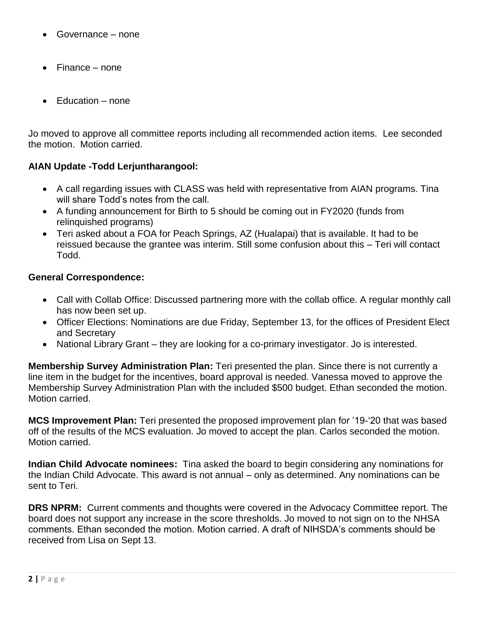- Governance none
- Finance none
- Education none

Jo moved to approve all committee reports including all recommended action items. Lee seconded the motion. Motion carried.

## **AIAN Update -Todd Lerjuntharangool:**

- A call regarding issues with CLASS was held with representative from AIAN programs. Tina will share Todd's notes from the call.
- A funding announcement for Birth to 5 should be coming out in FY2020 (funds from relinquished programs)
- Teri asked about a FOA for Peach Springs, AZ (Hualapai) that is available. It had to be reissued because the grantee was interim. Still some confusion about this – Teri will contact Todd.

## **General Correspondence:**

- Call with Collab Office: Discussed partnering more with the collab office. A regular monthly call has now been set up.
- Officer Elections: Nominations are due Friday, September 13, for the offices of President Elect and Secretary
- National Library Grant they are looking for a co-primary investigator. Jo is interested.

**Membership Survey Administration Plan:** Teri presented the plan. Since there is not currently a line item in the budget for the incentives, board approval is needed. Vanessa moved to approve the Membership Survey Administration Plan with the included \$500 budget. Ethan seconded the motion. Motion carried.

**MCS Improvement Plan:** Teri presented the proposed improvement plan for '19-'20 that was based off of the results of the MCS evaluation. Jo moved to accept the plan. Carlos seconded the motion. Motion carried.

**Indian Child Advocate nominees:** Tina asked the board to begin considering any nominations for the Indian Child Advocate. This award is not annual – only as determined. Any nominations can be sent to Teri.

**DRS NPRM:** Current comments and thoughts were covered in the Advocacy Committee report. The board does not support any increase in the score thresholds. Jo moved to not sign on to the NHSA comments. Ethan seconded the motion. Motion carried. A draft of NIHSDA's comments should be received from Lisa on Sept 13.